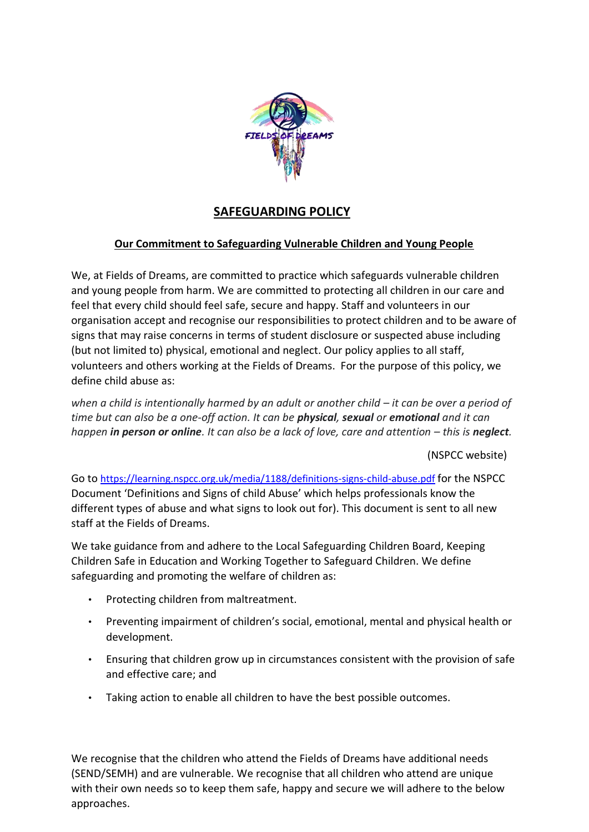

# **SAFEGUARDING POLICY**

## **Our Commitment to Safeguarding Vulnerable Children and Young People**

We, at Fields of Dreams, are committed to practice which safeguards vulnerable children and young people from harm. We are committed to protecting all children in our care and feel that every child should feel safe, secure and happy. Staff and volunteers in our organisation accept and recognise our responsibilities to protect children and to be aware of signs that may raise concerns in terms of student disclosure or suspected abuse including (but not limited to) physical, emotional and neglect. Our policy applies to all staff, volunteers and others working at the Fields of Dreams. For the purpose of this policy, we define child abuse as:

*when a child is intentionally harmed by an adult or another child – it can be over a period of time but can also be a one-off action. It can be physical, sexual or emotional and it can happen in person or online. It can also be a lack of love, care and attention – this is neglect.* 

(NSPCC website)

Go to <https://learning.nspcc.org.uk/media/1188/definitions-signs-child-abuse.pdf> [f](https://learning.nspcc.org.uk/media/1188/definitions-signs-child-abuse.pdf)or the NSPCC Document 'Definitions and Signs of child Abuse' which helps professionals know the different types of abuse and what signs to look out for). This document is sent to all new staff at the Fields of Dreams.

We take guidance from and adhere to the Local Safeguarding Children Board, Keeping Children Safe in Education and Working Together to Safeguard Children. We define safeguarding and promoting the welfare of children as:

- Protecting children from maltreatment.
- Preventing impairment of children's social, emotional, mental and physical health or development.
- Ensuring that children grow up in circumstances consistent with the provision of safe and effective care; and
- Taking action to enable all children to have the best possible outcomes.

We recognise that the children who attend the Fields of Dreams have additional needs (SEND/SEMH) and are vulnerable. We recognise that all children who attend are unique with their own needs so to keep them safe, happy and secure we will adhere to the below approaches.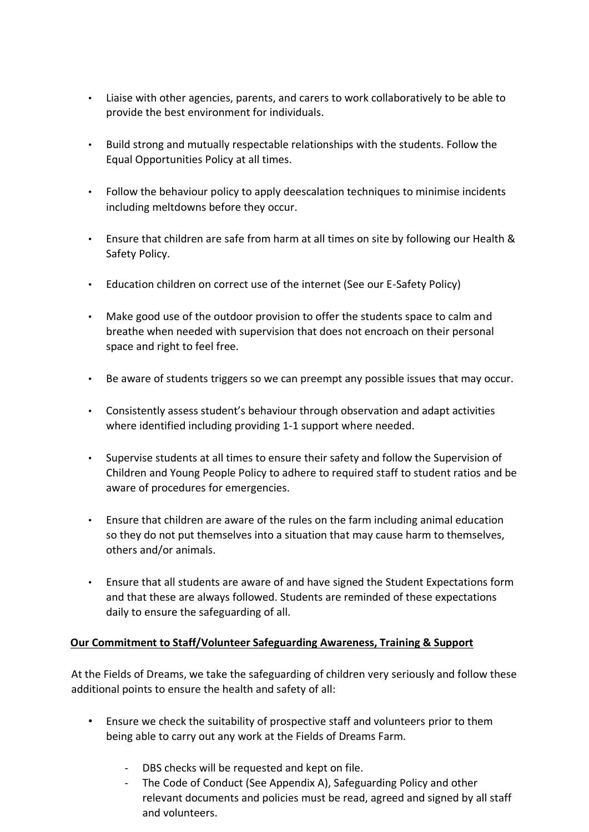- Liaise with other agencies, parents, and carers to work collaboratively to be able to provide the best environment for individuals.
- Build strong and mutually respectable relationships with the students. Follow the Equal Opportunities Policy at all times.
- Follow the behaviour policy to apply deescalation techniques to minimise incidents including meltdowns before they occur.
- Ensure that children are safe from harm at all times on site by following our Health & Safety Policy.
- Education children on correct use of the internet (See our E-Safety Policy)
- Make good use of the outdoor provision to offer the students space to calm and breathe when needed with supervision that does not encroach on their personal space and right to feel free.
- Be aware of students triggers so we can preempt any possible issues that may occur.
- Consistently assess student's behaviour through observation and adapt activities where identified including providing 1-1 support where needed.
- Supervise students at all times to ensure their safety and follow the Supervision of Children and Young People Policy to adhere to required staff to student ratios and be aware of procedures for emergencies.
- Ensure that children are aware of the rules on the farm including animal education so they do not put themselves into a situation that may cause harm to themselves, others and/or animals.
- Ensure that all students are aware of and have signed the Student Expectations form and that these are always followed. Students are reminded of these expectations daily to ensure the safeguarding of all.

## **Our Commitment to Staff/Volunteer Safeguarding Awareness, Training & Support**

At the Fields of Dreams, we take the safeguarding of children very seriously and follow these additional points to ensure the health and safety of all:

- Ensure we check the suitability of prospective staff and volunteers prior to them being able to carry out any work at the Fields of Dreams Farm.
	- DBS checks will be requested and kept on file.
	- The Code of Conduct (See Appendix A), Safeguarding Policy and other relevant documents and policies must be read, agreed and signed by all staff and volunteers.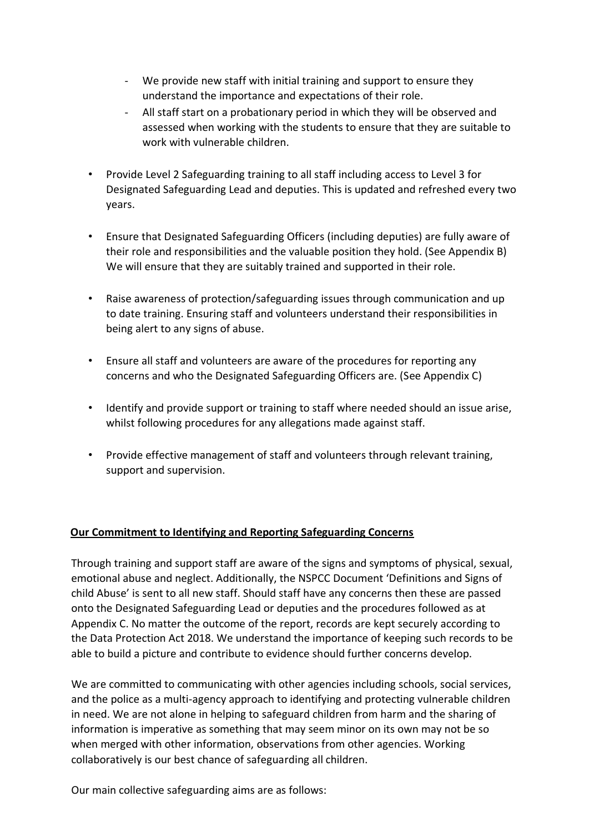- We provide new staff with initial training and support to ensure they understand the importance and expectations of their role.
- All staff start on a probationary period in which they will be observed and assessed when working with the students to ensure that they are suitable to work with vulnerable children.
- Provide Level 2 Safeguarding training to all staff including access to Level 3 for Designated Safeguarding Lead and deputies. This is updated and refreshed every two years.
- Ensure that Designated Safeguarding Officers (including deputies) are fully aware of their role and responsibilities and the valuable position they hold. (See Appendix B) We will ensure that they are suitably trained and supported in their role.
- Raise awareness of protection/safeguarding issues through communication and up to date training. Ensuring staff and volunteers understand their responsibilities in being alert to any signs of abuse.
- Ensure all staff and volunteers are aware of the procedures for reporting any concerns and who the Designated Safeguarding Officers are. (See Appendix C)
- Identify and provide support or training to staff where needed should an issue arise, whilst following procedures for any allegations made against staff.
- Provide effective management of staff and volunteers through relevant training, support and supervision.

## **Our Commitment to Identifying and Reporting Safeguarding Concerns**

Through training and support staff are aware of the signs and symptoms of physical, sexual, emotional abuse and neglect. Additionally, the NSPCC Document 'Definitions and Signs of child Abuse' is sent to all new staff. Should staff have any concerns then these are passed onto the Designated Safeguarding Lead or deputies and the procedures followed as at Appendix C. No matter the outcome of the report, records are kept securely according to the Data Protection Act 2018. We understand the importance of keeping such records to be able to build a picture and contribute to evidence should further concerns develop.

We are committed to communicating with other agencies including schools, social services, and the police as a multi-agency approach to identifying and protecting vulnerable children in need. We are not alone in helping to safeguard children from harm and the sharing of information is imperative as something that may seem minor on its own may not be so when merged with other information, observations from other agencies. Working collaboratively is our best chance of safeguarding all children.

Our main collective safeguarding aims are as follows: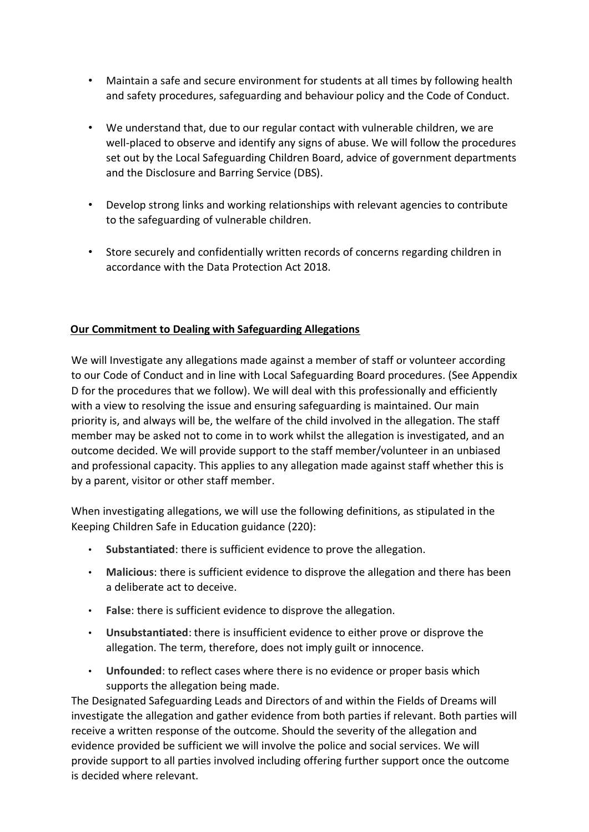- Maintain a safe and secure environment for students at all times by following health and safety procedures, safeguarding and behaviour policy and the Code of Conduct.
- We understand that, due to our regular contact with vulnerable children, we are well-placed to observe and identify any signs of abuse. We will follow the procedures set out by the Local Safeguarding Children Board, advice of government departments and the Disclosure and Barring Service (DBS).
- Develop strong links and working relationships with relevant agencies to contribute to the safeguarding of vulnerable children.
- Store securely and confidentially written records of concerns regarding children in accordance with the Data Protection Act 2018.

## **Our Commitment to Dealing with Safeguarding Allegations**

We will Investigate any allegations made against a member of staff or volunteer according to our Code of Conduct and in line with Local Safeguarding Board procedures. (See Appendix D for the procedures that we follow). We will deal with this professionally and efficiently with a view to resolving the issue and ensuring safeguarding is maintained. Our main priority is, and always will be, the welfare of the child involved in the allegation. The staff member may be asked not to come in to work whilst the allegation is investigated, and an outcome decided. We will provide support to the staff member/volunteer in an unbiased and professional capacity. This applies to any allegation made against staff whether this is by a parent, visitor or other staff member.

When investigating allegations, we will use the following definitions, as stipulated in the Keeping Children Safe in Education guidance (220):

- **Substantiated**: there is sufficient evidence to prove the allegation.
- **Malicious**: there is sufficient evidence to disprove the allegation and there has been a deliberate act to deceive.
- **False**: there is sufficient evidence to disprove the allegation.
- **Unsubstantiated**: there is insufficient evidence to either prove or disprove the allegation. The term, therefore, does not imply guilt or innocence.
- **Unfounded**: to reflect cases where there is no evidence or proper basis which supports the allegation being made.

The Designated Safeguarding Leads and Directors of and within the Fields of Dreams will investigate the allegation and gather evidence from both parties if relevant. Both parties will receive a written response of the outcome. Should the severity of the allegation and evidence provided be sufficient we will involve the police and social services. We will provide support to all parties involved including offering further support once the outcome is decided where relevant.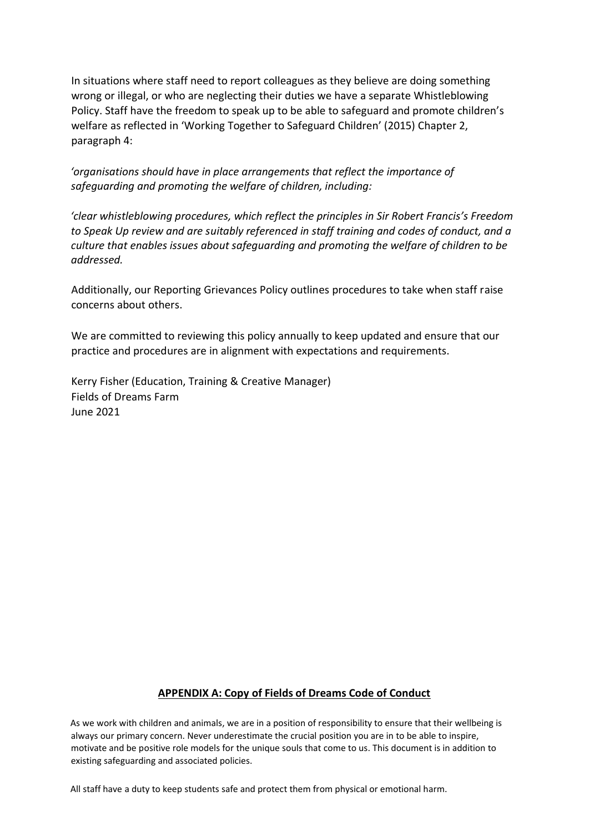In situations where staff need to report colleagues as they believe are doing something wrong or illegal, or who are neglecting their duties we have a separate Whistleblowing Policy. Staff have the freedom to speak up to be able to safeguard and promote children's welfare as reflected in 'Working Together to Safeguard Children' (2015) Chapter 2, paragraph 4:

*'organisations should have in place arrangements that reflect the importance of safeguarding and promoting the welfare of children, including:* 

*'clear whistleblowing procedures, which reflect the principles in Sir Robert Francis's Freedom to Speak Up review and are suitably referenced in staff training and codes of conduct, and a culture that enables issues about safeguarding and promoting the welfare of children to be addressed.* 

Additionally, our Reporting Grievances Policy outlines procedures to take when staff raise concerns about others.

We are committed to reviewing this policy annually to keep updated and ensure that our practice and procedures are in alignment with expectations and requirements.

Kerry Fisher (Education, Training & Creative Manager) Fields of Dreams Farm June 2021

## **APPENDIX A: Copy of Fields of Dreams Code of Conduct**

As we work with children and animals, we are in a position of responsibility to ensure that their wellbeing is always our primary concern. Never underestimate the crucial position you are in to be able to inspire, motivate and be positive role models for the unique souls that come to us. This document is in addition to existing safeguarding and associated policies.

All staff have a duty to keep students safe and protect them from physical or emotional harm.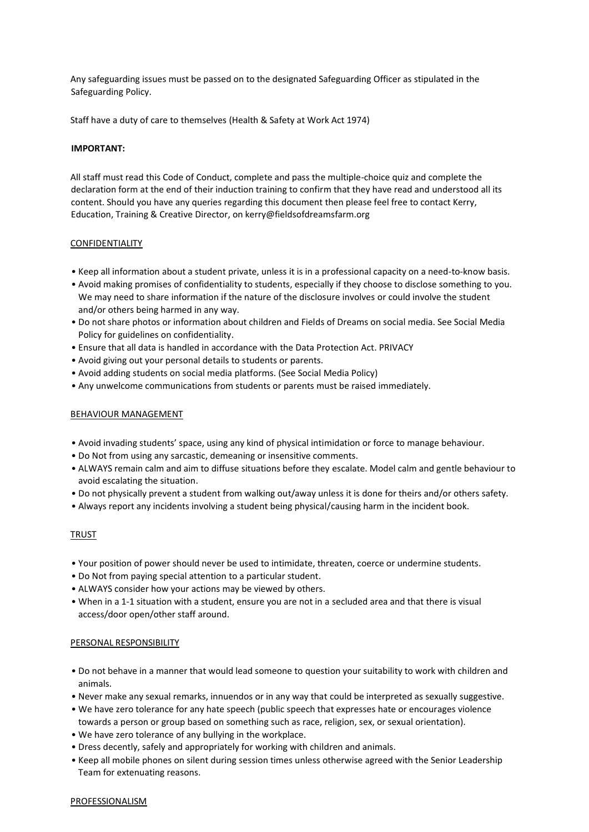Any safeguarding issues must be passed on to the designated Safeguarding Officer as stipulated in the Safeguarding Policy.

Staff have a duty of care to themselves (Health & Safety at Work Act 1974)

#### **IMPORTANT:**

All staff must read this Code of Conduct, complete and pass the multiple-choice quiz and complete the declaration form at the end of their induction training to confirm that they have read and understood all its content. Should you have any queries regarding this document then please feel free to contact Kerry, Education, Training & Creative Director, on kerry@fieldsofdreamsfarm.org

#### **CONFIDENTIALITY**

- Keep all information about a student private, unless it is in a professional capacity on a need-to-know basis.
- Avoid making promises of confidentiality to students, especially if they choose to disclose something to you. We may need to share information if the nature of the disclosure involves or could involve the student and/or others being harmed in any way.
- Do not share photos or information about children and Fields of Dreams on social media. See Social Media Policy for guidelines on confidentiality.
- Ensure that all data is handled in accordance with the Data Protection Act. PRIVACY
- Avoid giving out your personal details to students or parents.
- Avoid adding students on social media platforms. (See Social Media Policy)
- Any unwelcome communications from students or parents must be raised immediately.

#### BEHAVIOUR MANAGEMENT

- Avoid invading students' space, using any kind of physical intimidation or force to manage behaviour.
- Do Not from using any sarcastic, demeaning or insensitive comments.
- ALWAYS remain calm and aim to diffuse situations before they escalate. Model calm and gentle behaviour to avoid escalating the situation.
- Do not physically prevent a student from walking out/away unless it is done for theirs and/or others safety.
- Always report any incidents involving a student being physical/causing harm in the incident book.

#### TRUST

- Your position of power should never be used to intimidate, threaten, coerce or undermine students.
- Do Not from paying special attention to a particular student.
- ALWAYS consider how your actions may be viewed by others.
- When in a 1-1 situation with a student, ensure you are not in a secluded area and that there is visual access/door open/other staff around.

#### PERSONAL RESPONSIBILITY

- Do not behave in a manner that would lead someone to question your suitability to work with children and animals.
- Never make any sexual remarks, innuendos or in any way that could be interpreted as sexually suggestive.
- We have zero tolerance for any hate speech (public speech that expresses hate or encourages violence towards a person or group based on something such as race, religion, sex, or sexual orientation).
- We have zero tolerance of any bullying in the workplace.
- Dress decently, safely and appropriately for working with children and animals.
- Keep all mobile phones on silent during session times unless otherwise agreed with the Senior Leadership Team for extenuating reasons.

#### PROFESSIONALISM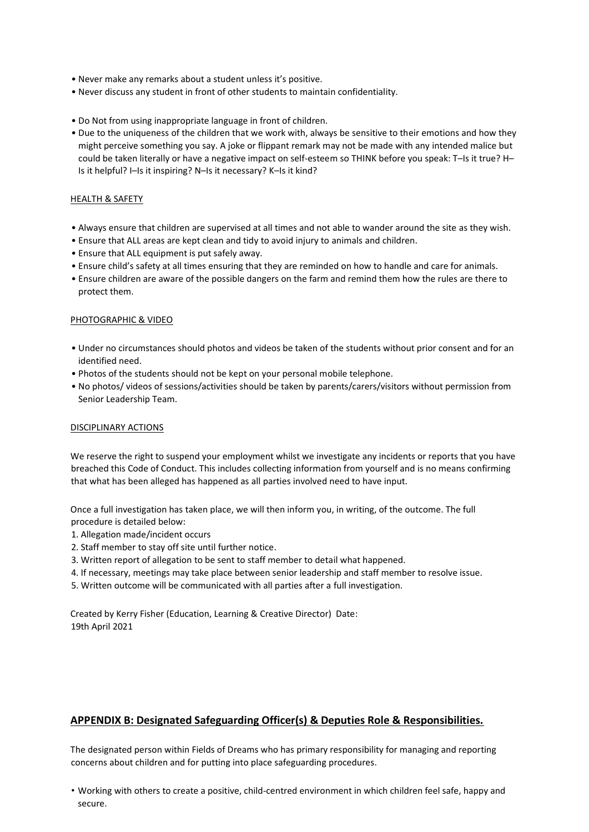- Never make any remarks about a student unless it's positive.
- Never discuss any student in front of other students to maintain confidentiality.
- Do Not from using inappropriate language in front of children.
- Due to the uniqueness of the children that we work with, always be sensitive to their emotions and how they might perceive something you say. A joke or flippant remark may not be made with any intended malice but could be taken literally or have a negative impact on self-esteem so THINK before you speak: T-Is it true? H-Is it helpful? I–Is it inspiring? N–Is it necessary? K–Is it kind?

#### HEALTH & SAFETY

- Always ensure that children are supervised at all times and not able to wander around the site as they wish.
- Ensure that ALL areas are kept clean and tidy to avoid injury to animals and children.
- Ensure that ALL equipment is put safely away.
- Ensure child's safety at all times ensuring that they are reminded on how to handle and care for animals.
- Ensure children are aware of the possible dangers on the farm and remind them how the rules are there to protect them.

#### PHOTOGRAPHIC & VIDEO

- Under no circumstances should photos and videos be taken of the students without prior consent and for an identified need.
- Photos of the students should not be kept on your personal mobile telephone.
- No photos/ videos of sessions/activities should be taken by parents/carers/visitors without permission from Senior Leadership Team.

#### DISCIPLINARY ACTIONS

We reserve the right to suspend your employment whilst we investigate any incidents or reports that you have breached this Code of Conduct. This includes collecting information from yourself and is no means confirming that what has been alleged has happened as all parties involved need to have input.

Once a full investigation has taken place, we will then inform you, in writing, of the outcome. The full procedure is detailed below:

- 1. Allegation made/incident occurs
- 2. Staff member to stay off site until further notice.
- 3. Written report of allegation to be sent to staff member to detail what happened.
- 4. If necessary, meetings may take place between senior leadership and staff member to resolve issue.
- 5. Written outcome will be communicated with all parties after a full investigation.

Created by Kerry Fisher (Education, Learning & Creative Director) Date: 19th April 2021

#### **APPENDIX B: Designated Safeguarding Officer(s) & Deputies Role & Responsibilities.**

The designated person within Fields of Dreams who has primary responsibility for managing and reporting concerns about children and for putting into place safeguarding procedures.

• Working with others to create a positive, child-centred environment in which children feel safe, happy and secure.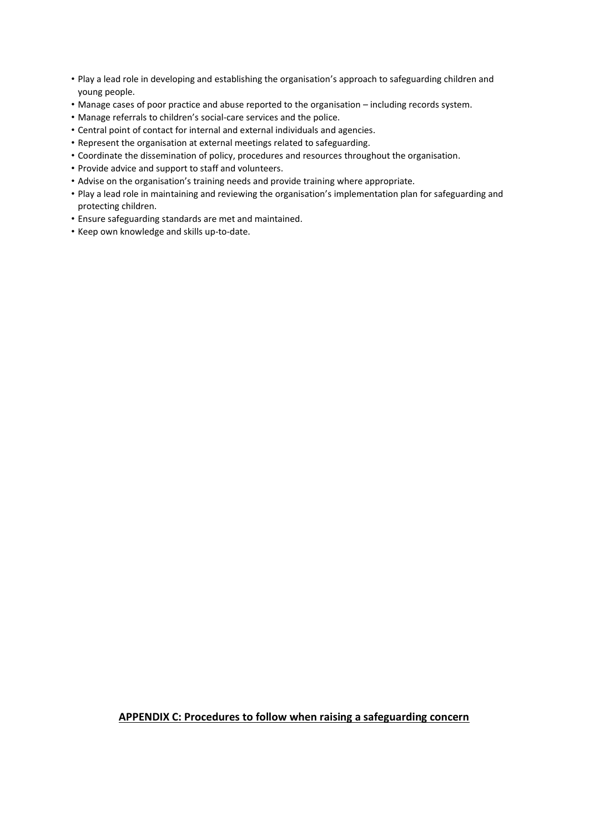- Play a lead role in developing and establishing the organisation's approach to safeguarding children and young people.
- Manage cases of poor practice and abuse reported to the organisation including records system.
- Manage referrals to children's social-care services and the police.
- Central point of contact for internal and external individuals and agencies.
- Represent the organisation at external meetings related to safeguarding.
- Coordinate the dissemination of policy, procedures and resources throughout the organisation.
- Provide advice and support to staff and volunteers.
- Advise on the organisation's training needs and provide training where appropriate.
- Play a lead role in maintaining and reviewing the organisation's implementation plan for safeguarding and protecting children.
- Ensure safeguarding standards are met and maintained.
- Keep own knowledge and skills up-to-date.

#### **APPENDIX C: Procedures to follow when raising a safeguarding concern**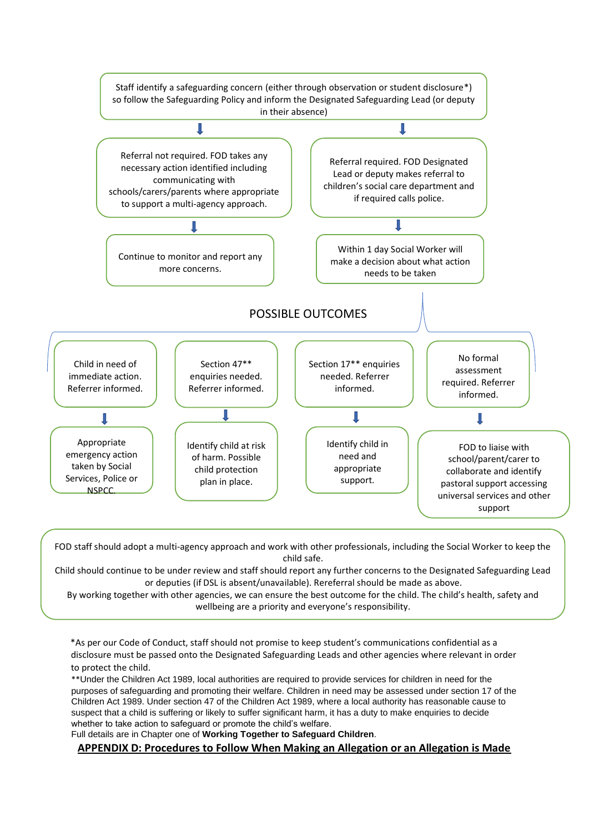

FOD staff should adopt a multi-agency approach and work with other professionals, including the Social Worker to keep the child safe.

Child should continue to be under review and staff should report any further concerns to the Designated Safeguarding Lead or deputies (if DSL is absent/unavailable). Rereferral should be made as above.

By working together with other agencies, we can ensure the best outcome for the child. The child's health, safety and wellbeing are a priority and everyone's responsibility.

\*As per our Code of Conduct, staff should not promise to keep student's communications confidential as a disclosure must be passed onto the Designated Safeguarding Leads and other agencies where relevant in order to protect the child.

\*\*Under the Children Act 1989, local authorities are required to provide services for children in need for the purposes of safeguarding and promoting their welfare. Children in need may be assessed under section 17 of the Children Act 1989. Under section 47 of the Children Act 1989, where a local authority has reasonable cause to suspect that a child is suffering or likely to suffer significant harm, it has a duty to make enquiries to decide whether to take action to safeguard or promote the child's welfare.

Full details are in Chapter one of **Working Together to Safeguard Children**.

**APPENDIX D: Procedures to Follow When Making an Allegation or an Allegation is Made**